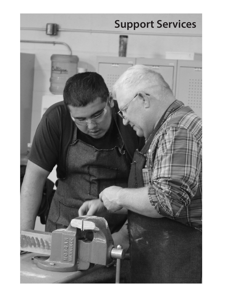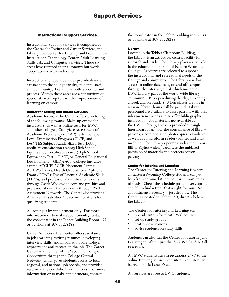# Instructional Support Services

Instructional Support Services is composed of the Center for Testing and Career Services, the Library, the Center for Tutoring and Learning, the Instructional Technology Center, Adult Learning Skills Lab, and Computer Services. These six areas have retained their autonomy but work cooperatively with each other.

Instructional Support Services provide diverse assistance to the college faculty, students, staff, and community. Learning is both a product and process. Within these areas are a consortium of specialists working toward the improvement of learning on campus.

## Center for Testing and Career Services

Academic Testing - The Center offers proctoring of the following exams: Make-up exams for instructors, as well as online tests for EWC and other colleges; Collegiate Assessment of Academic Proficiency (CAAP) tests; College Level Examination Program (CLEP) and DANTES Subject Standardized Test (DSST) credit by examination testing; High School Equivalency Certificate exams (High School Equivalency Test – HiSET, or General Educational Development – GED); ACT College Entrance exams; ACCUPLACER Placement Exams; ACT WorkKeys; Health Occupational Aptitude Exam (HOAE); Test of Essential Academic Skills (TEAS); and professional certification exams through Castle Worldwide.com and pre-hire and professional certification exams through PAN Assessment Network. The Center also provides American Disabilities Act accommodations for qualifying students.

All testing is by appointment only. For more information or to make appointments, contact the coordinator in the Tebbet Building Room 133 or by phone at 307.532.8288.

Career Services - The Center offers assistance in job searching, writing resumes, developing interview skills, and information on employer expectations and success on the job. The Career Center is a member of the Wyoming College Consortium through the College Central Network, which gives students access to local, regional, and national job boards, and provides resume and e-portfolio building tools. For more information or to make appointments, contact

the coordinator in the Tebbet Building room 133 or by phone at 307.532.8288.

# Library

Located in the Tebbet Classroom Building, the Library is an attractive, central facility for research and study. The Library plays a vital role in the educational mission of Eastern Wyoming College. Resources are selected to support the instructional and recreational needs of the College and community. The Library also has access to online databases, on and off campus, through the Internet, all of which make the EWC Library part of the world-wide library community. It is open during the day, 4 evenings a week and on Sundays. When classes are not in session, library hours will be posted. Library personnel are available to assist patrons with their informational needs and to offer bibliographic instruction. For materials not available at the EWC Library, access is provided through interlibrary loan. For the convenience of library patrons, a coin operated photocopier is available as well as a microform reader/printer and a fax machine. The Library operates under the Library Bill of Rights which guarantees the unbiased provision of materials and protects patron privacy.

# Center for Tutoring and Learning

The Center for Tutoring and Learning is where all Eastern Wyoming College students can get help from a trained student-tutor in most areas of study. Check the schedule posted every spring and fall to find a tutor that's right for you. No appointment necessary – just drop by. The Center is located in Tebbet 140, directly below the Library.

The Center for Tutoring and Learning can:

- provide tutors for most EWC courses
- set up study groups
- host review sessions
- advise students on study skills

Students can also call the Center for Tutoring and Learning toll-free. Just dial 866.392.3478 to talk to a tutor.

All EWC students have **free access 24/7** to the online tutoring service NetTutor. NetTutor can be reached via LancerNet.

All services are free to EWC students.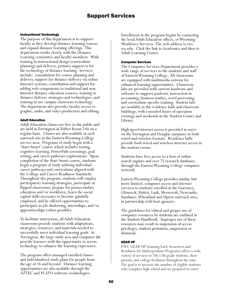# Support Services

### Instructional Technology

The purpose of this department is to support faculty as they develop distance learning courses and expand distance learning offerings. This department works closely with the Distance Learning committee and faculty members. With training in instructional design (curriculum planning) and delivery, primary support is for the technology of distance learning. Services include: consultation for course planning and delivery, support for distance delivery via online Internet systems, consultation and support for adding web components to traditional and non-Internet distance education courses, training in distance delivery strategies and technologies, and training to use campus classroom technology. The department also provides faculty access to graphic, audio, and video production and editing.

#### Adult Education

Adult Education classes are free to the public and are held in Torrington in Tebbet Room 140 on a regular basis. Classes are also available at each outreach site in the Eastern Wyoming College service area. Programs of study begin with a 'Start Smart' course which includes testing, cognitive learning, PowerPath screenings, goal setting, and career pathways explorations. Upon completion of the Start Smart course, students begin a program of study utilizing individual career pathways and curriculums aligned with the College and Career Readiness Standards. Throughout the program, students will employ participatory learning strategies, participate in flipped classrooms, prepare for postsecondary education and/or workforce, learn the social capital skills necessary to become gainfully employed, and be offered opportunities to participate in job shadowing, internships, and/or apprenticeships (when possible).

To facilitate instruction, all Adult Education classrooms provide students with adaptations, strategies, resources, and materials needed to successfully meet individual learning goals. In Torrington, the large study area and computer lab provide learners with the opportunity to access technology to enhance the learning experience.

The program offers managed enrolled classes and individualized study plans for people from the age of 16 and beyond. Distance learning opportunities are also available through the AZTEC and PLATO software technologies.

Enrollment in the program begins by contacting the local Adult Education offices, or Wyoming Workforce Services. The web address is ewc. wy.edu. Click the link to Academics and then to Adult Learning Center.

#### Computer Services

The Computer Services Department provides a wide range of services to the students and staff of Eastern Wyoming College. All classrooms are equipped with multimedia systems for enhanced learning opportunities. Classroom labs are provided with current hardware and software to support academic instruction in accounting, business studies, word processing and curriculum-specific training. Student labs are available in the residence halls and classroom buildings, with extended hours of operation evenings and weekends in the Student Center and Library.

High speed internet access is provided to users on the Torrington and Douglas campuses in both wired and wireless formats. Residence halls provide both wired and wireless internet access in the student rooms.

Students have free access to a host of online search engines and over 75 research databases through the Eastern Wyoming College computer network.

Eastern Wyoming College provides similar, but more limited, computer access and internet services to students enrolled at the Guernsey, Glenrock, Hulett, Lusk, Moorcroft, Newcastle, Sundance, Wheatland and Upton outreach sites, in partnership with host agencies.

The guidelines for ethical and proper use of computer resources by students are outlined in the Student Handbook. Improper use of these resources may result in suspension of access privileges, student probation, suspension or dismissal.

### GEAR UP

EWC GEAR UP (Gaining Early Awareness and Readiness for Undergraduate Programs) offers a wide variety of services to 7th-12th grade students, their parents, and college freshmen throughout the state. The goal is to increase the number of eligible students who complete high school and are prepared to enter